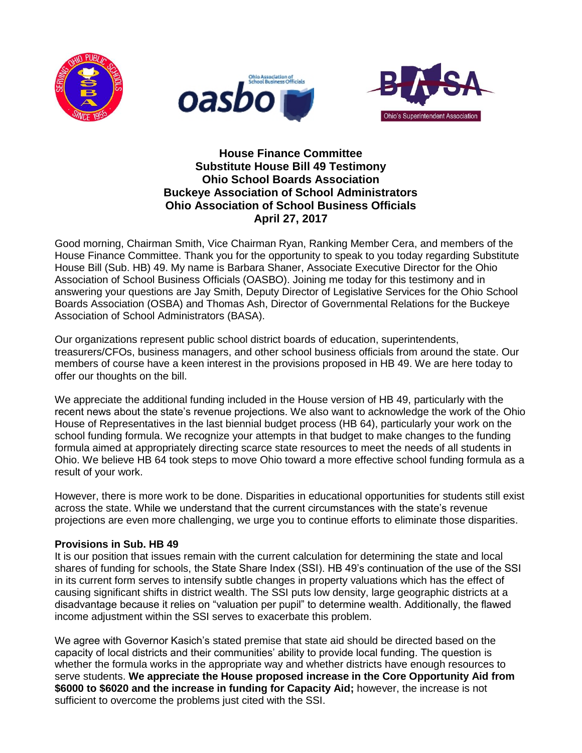





# **House Finance Committee Substitute House Bill 49 Testimony Ohio School Boards Association Buckeye Association of School Administrators Ohio Association of School Business Officials April 27, 2017**

Good morning, Chairman Smith, Vice Chairman Ryan, Ranking Member Cera, and members of the House Finance Committee. Thank you for the opportunity to speak to you today regarding Substitute House Bill (Sub. HB) 49. My name is Barbara Shaner, Associate Executive Director for the Ohio Association of School Business Officials (OASBO). Joining me today for this testimony and in answering your questions are Jay Smith, Deputy Director of Legislative Services for the Ohio School Boards Association (OSBA) and Thomas Ash, Director of Governmental Relations for the Buckeye Association of School Administrators (BASA).

Our organizations represent public school district boards of education, superintendents, treasurers/CFOs, business managers, and other school business officials from around the state. Our members of course have a keen interest in the provisions proposed in HB 49. We are here today to offer our thoughts on the bill.

We appreciate the additional funding included in the House version of HB 49, particularly with the recent news about the state's revenue projections. We also want to acknowledge the work of the Ohio House of Representatives in the last biennial budget process (HB 64), particularly your work on the school funding formula. We recognize your attempts in that budget to make changes to the funding formula aimed at appropriately directing scarce state resources to meet the needs of all students in Ohio. We believe HB 64 took steps to move Ohio toward a more effective school funding formula as a result of your work.

However, there is more work to be done. Disparities in educational opportunities for students still exist across the state. While we understand that the current circumstances with the state's revenue projections are even more challenging, we urge you to continue efforts to eliminate those disparities.

# **Provisions in Sub. HB 49**

It is our position that issues remain with the current calculation for determining the state and local shares of funding for schools, the State Share Index (SSI). HB 49's continuation of the use of the SSI in its current form serves to intensify subtle changes in property valuations which has the effect of causing significant shifts in district wealth. The SSI puts low density, large geographic districts at a disadvantage because it relies on "valuation per pupil" to determine wealth. Additionally, the flawed income adjustment within the SSI serves to exacerbate this problem.

We agree with Governor Kasich's stated premise that state aid should be directed based on the capacity of local districts and their communities' ability to provide local funding. The question is whether the formula works in the appropriate way and whether districts have enough resources to serve students. **We appreciate the House proposed increase in the Core Opportunity Aid from \$6000 to \$6020 and the increase in funding for Capacity Aid;** however, the increase is not sufficient to overcome the problems just cited with the SSI.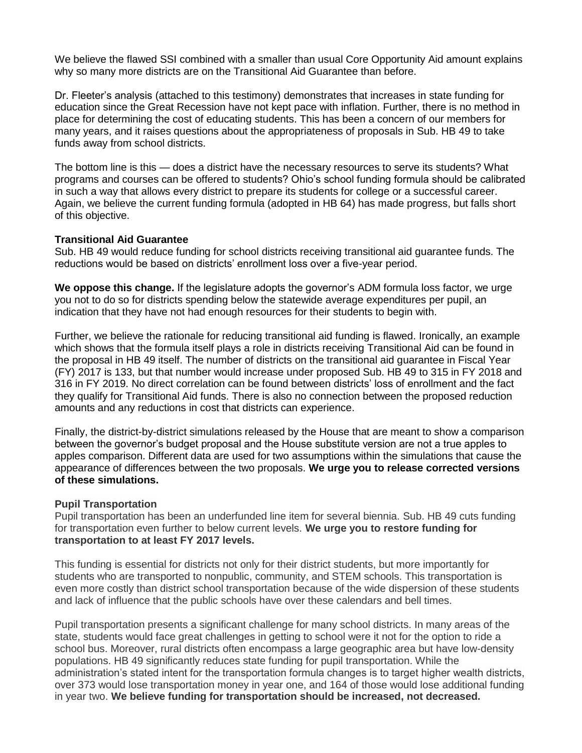We believe the flawed SSI combined with a smaller than usual Core Opportunity Aid amount explains why so many more districts are on the Transitional Aid Guarantee than before.

Dr. Fleeter's analysis (attached to this testimony) demonstrates that increases in state funding for education since the Great Recession have not kept pace with inflation. Further, there is no method in place for determining the cost of educating students. This has been a concern of our members for many years, and it raises questions about the appropriateness of proposals in Sub. HB 49 to take funds away from school districts.

The bottom line is this — does a district have the necessary resources to serve its students? What programs and courses can be offered to students? Ohio's school funding formula should be calibrated in such a way that allows every district to prepare its students for college or a successful career. Again, we believe the current funding formula (adopted in HB 64) has made progress, but falls short of this objective.

### **Transitional Aid Guarantee**

Sub. HB 49 would reduce funding for school districts receiving transitional aid guarantee funds. The reductions would be based on districts' enrollment loss over a five-year period.

**We oppose this change.** If the legislature adopts the governor's ADM formula loss factor, we urge you not to do so for districts spending below the statewide average expenditures per pupil, an indication that they have not had enough resources for their students to begin with.

Further, we believe the rationale for reducing transitional aid funding is flawed. Ironically, an example which shows that the formula itself plays a role in districts receiving Transitional Aid can be found in the proposal in HB 49 itself. The number of districts on the transitional aid guarantee in Fiscal Year (FY) 2017 is 133, but that number would increase under proposed Sub. HB 49 to 315 in FY 2018 and 316 in FY 2019. No direct correlation can be found between districts' loss of enrollment and the fact they qualify for Transitional Aid funds. There is also no connection between the proposed reduction amounts and any reductions in cost that districts can experience.

Finally, the district-by-district simulations released by the House that are meant to show a comparison between the governor's budget proposal and the House substitute version are not a true apples to apples comparison. Different data are used for two assumptions within the simulations that cause the appearance of differences between the two proposals. **We urge you to release corrected versions of these simulations.**

### **Pupil Transportation**

Pupil transportation has been an underfunded line item for several biennia. Sub. HB 49 cuts funding for transportation even further to below current levels. **We urge you to restore funding for transportation to at least FY 2017 levels.**

This funding is essential for districts not only for their district students, but more importantly for students who are transported to nonpublic, community, and STEM schools. This transportation is even more costly than district school transportation because of the wide dispersion of these students and lack of influence that the public schools have over these calendars and bell times.

Pupil transportation presents a significant challenge for many school districts. In many areas of the state, students would face great challenges in getting to school were it not for the option to ride a school bus. Moreover, rural districts often encompass a large geographic area but have low-density populations. HB 49 significantly reduces state funding for pupil transportation. While the administration's stated intent for the transportation formula changes is to target higher wealth districts, over 373 would lose transportation money in year one, and 164 of those would lose additional funding in year two. **We believe funding for transportation should be increased, not decreased.**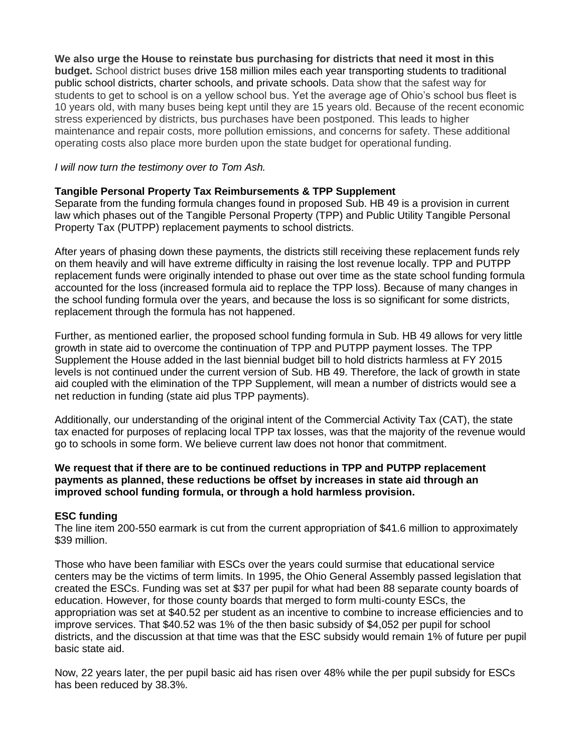**We also urge the House to reinstate bus purchasing for districts that need it most in this budget.** School district buses drive 158 million miles each year transporting students to traditional public school districts, charter schools, and private schools. Data show that the safest way for students to get to school is on a yellow school bus. Yet the average age of Ohio's school bus fleet is 10 years old, with many buses being kept until they are 15 years old. Because of the recent economic stress experienced by districts, bus purchases have been postponed. This leads to higher maintenance and repair costs, more pollution emissions, and concerns for safety. These additional operating costs also place more burden upon the state budget for operational funding.

## *I will now turn the testimony over to Tom Ash.*

## **Tangible Personal Property Tax Reimbursements & TPP Supplement**

Separate from the funding formula changes found in proposed Sub. HB 49 is a provision in current law which phases out of the Tangible Personal Property (TPP) and Public Utility Tangible Personal Property Tax (PUTPP) replacement payments to school districts.

After years of phasing down these payments, the districts still receiving these replacement funds rely on them heavily and will have extreme difficulty in raising the lost revenue locally. TPP and PUTPP replacement funds were originally intended to phase out over time as the state school funding formula accounted for the loss (increased formula aid to replace the TPP loss). Because of many changes in the school funding formula over the years, and because the loss is so significant for some districts, replacement through the formula has not happened.

Further, as mentioned earlier, the proposed school funding formula in Sub. HB 49 allows for very little growth in state aid to overcome the continuation of TPP and PUTPP payment losses. The TPP Supplement the House added in the last biennial budget bill to hold districts harmless at FY 2015 levels is not continued under the current version of Sub. HB 49. Therefore, the lack of growth in state aid coupled with the elimination of the TPP Supplement, will mean a number of districts would see a net reduction in funding (state aid plus TPP payments).

Additionally, our understanding of the original intent of the Commercial Activity Tax (CAT), the state tax enacted for purposes of replacing local TPP tax losses, was that the majority of the revenue would go to schools in some form. We believe current law does not honor that commitment.

## **We request that if there are to be continued reductions in TPP and PUTPP replacement payments as planned, these reductions be offset by increases in state aid through an improved school funding formula, or through a hold harmless provision.**

### **ESC funding**

The line item 200-550 earmark is cut from the current appropriation of \$41.6 million to approximately \$39 million.

Those who have been familiar with ESCs over the years could surmise that educational service centers may be the victims of term limits. In 1995, the Ohio General Assembly passed legislation that created the ESCs. Funding was set at \$37 per pupil for what had been 88 separate county boards of education. However, for those county boards that merged to form multi-county ESCs, the appropriation was set at \$40.52 per student as an incentive to combine to increase efficiencies and to improve services. That \$40.52 was 1% of the then basic subsidy of \$4,052 per pupil for school districts, and the discussion at that time was that the ESC subsidy would remain 1% of future per pupil basic state aid.

Now, 22 years later, the per pupil basic aid has risen over 48% while the per pupil subsidy for ESCs has been reduced by 38.3%.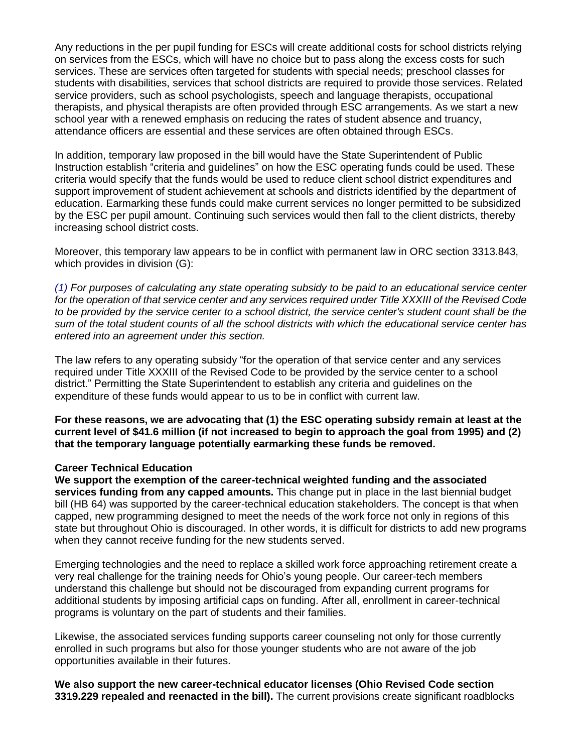Any reductions in the per pupil funding for ESCs will create additional costs for school districts relying on services from the ESCs, which will have no choice but to pass along the excess costs for such services. These are services often targeted for students with special needs; preschool classes for students with disabilities, services that school districts are required to provide those services. Related service providers, such as school psychologists, speech and language therapists, occupational therapists, and physical therapists are often provided through ESC arrangements. As we start a new school year with a renewed emphasis on reducing the rates of student absence and truancy, attendance officers are essential and these services are often obtained through ESCs.

In addition, temporary law proposed in the bill would have the State Superintendent of Public Instruction establish "criteria and guidelines" on how the ESC operating funds could be used. These criteria would specify that the funds would be used to reduce client school district expenditures and support improvement of student achievement at schools and districts identified by the department of education. Earmarking these funds could make current services no longer permitted to be subsidized by the ESC per pupil amount. Continuing such services would then fall to the client districts, thereby increasing school district costs.

Moreover, this temporary law appears to be in conflict with permanent law in ORC section 3313.843, which provides in division (G):

*(1) For purposes of calculating any state operating subsidy to be paid to an educational service center for the operation of that service center and any services required under Title XXXIII of the Revised Code to be provided by the service center to a school district, the service center's student count shall be the sum of the total student counts of all the school districts with which the educational service center has entered into an agreement under this section.*

The law refers to any operating subsidy "for the operation of that service center and any services required under Title XXXIII of the Revised Code to be provided by the service center to a school district." Permitting the State Superintendent to establish any criteria and guidelines on the expenditure of these funds would appear to us to be in conflict with current law.

**For these reasons, we are advocating that (1) the ESC operating subsidy remain at least at the current level of \$41.6 million (if not increased to begin to approach the goal from 1995) and (2) that the temporary language potentially earmarking these funds be removed.**

#### **Career Technical Education**

**We support the exemption of the career-technical weighted funding and the associated services funding from any capped amounts.** This change put in place in the last biennial budget bill (HB 64) was supported by the career-technical education stakeholders. The concept is that when capped, new programming designed to meet the needs of the work force not only in regions of this state but throughout Ohio is discouraged. In other words, it is difficult for districts to add new programs when they cannot receive funding for the new students served.

Emerging technologies and the need to replace a skilled work force approaching retirement create a very real challenge for the training needs for Ohio's young people. Our career-tech members understand this challenge but should not be discouraged from expanding current programs for additional students by imposing artificial caps on funding. After all, enrollment in career-technical programs is voluntary on the part of students and their families.

Likewise, the associated services funding supports career counseling not only for those currently enrolled in such programs but also for those younger students who are not aware of the job opportunities available in their futures.

**We also support the new career-technical educator licenses (Ohio Revised Code section 3319.229 repealed and reenacted in the bill).** The current provisions create significant roadblocks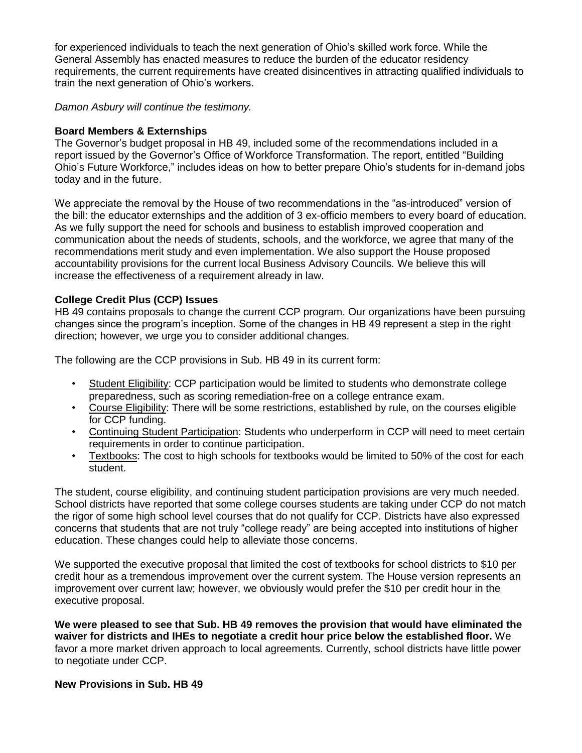for experienced individuals to teach the next generation of Ohio's skilled work force. While the General Assembly has enacted measures to reduce the burden of the educator residency requirements, the current requirements have created disincentives in attracting qualified individuals to train the next generation of Ohio's workers.

*Damon Asbury will continue the testimony.*

# **Board Members & Externships**

The Governor's budget proposal in HB 49, included some of the recommendations included in a report issued by the Governor's Office of Workforce Transformation. The report, entitled "Building Ohio's Future Workforce," includes ideas on how to better prepare Ohio's students for in-demand jobs today and in the future.

We appreciate the removal by the House of two recommendations in the "as-introduced" version of the bill: the educator externships and the addition of 3 ex-officio members to every board of education. As we fully support the need for schools and business to establish improved cooperation and communication about the needs of students, schools, and the workforce, we agree that many of the recommendations merit study and even implementation. We also support the House proposed accountability provisions for the current local Business Advisory Councils. We believe this will increase the effectiveness of a requirement already in law.

# **College Credit Plus (CCP) Issues**

HB 49 contains proposals to change the current CCP program. Our organizations have been pursuing changes since the program's inception. Some of the changes in HB 49 represent a step in the right direction; however, we urge you to consider additional changes.

The following are the CCP provisions in Sub. HB 49 in its current form:

- Student Eligibility: CCP participation would be limited to students who demonstrate college preparedness, such as scoring remediation-free on a college entrance exam.
- Course Eligibility: There will be some restrictions, established by rule, on the courses eligible for CCP funding.
- Continuing Student Participation: Students who underperform in CCP will need to meet certain requirements in order to continue participation.
- Textbooks: The cost to high schools for textbooks would be limited to 50% of the cost for each student.

The student, course eligibility, and continuing student participation provisions are very much needed. School districts have reported that some college courses students are taking under CCP do not match the rigor of some high school level courses that do not qualify for CCP. Districts have also expressed concerns that students that are not truly "college ready" are being accepted into institutions of higher education. These changes could help to alleviate those concerns.

We supported the executive proposal that limited the cost of textbooks for school districts to \$10 per credit hour as a tremendous improvement over the current system. The House version represents an improvement over current law; however, we obviously would prefer the \$10 per credit hour in the executive proposal.

**We were pleased to see that Sub. HB 49 removes the provision that would have eliminated the waiver for districts and IHEs to negotiate a credit hour price below the established floor.** We favor a more market driven approach to local agreements. Currently, school districts have little power to negotiate under CCP.

# **New Provisions in Sub. HB 49**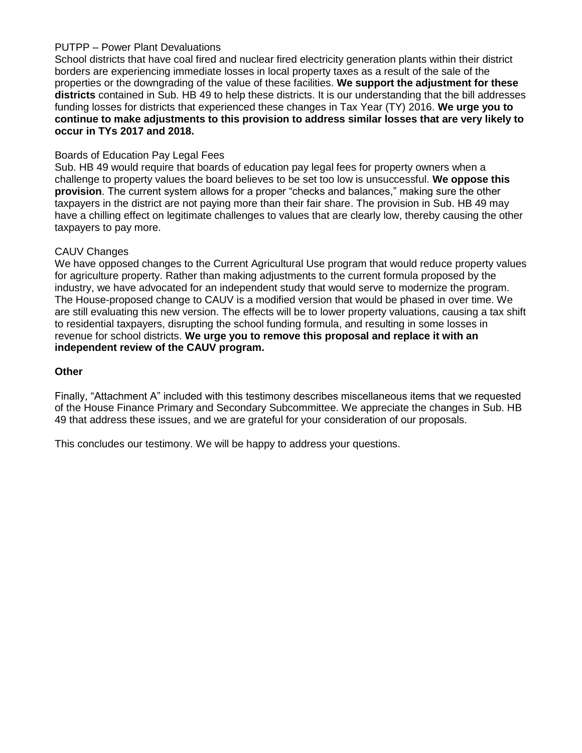# PUTPP – Power Plant Devaluations

School districts that have coal fired and nuclear fired electricity generation plants within their district borders are experiencing immediate losses in local property taxes as a result of the sale of the properties or the downgrading of the value of these facilities. **We support the adjustment for these districts** contained in Sub. HB 49 to help these districts. It is our understanding that the bill addresses funding losses for districts that experienced these changes in Tax Year (TY) 2016. **We urge you to continue to make adjustments to this provision to address similar losses that are very likely to occur in TYs 2017 and 2018.**

# Boards of Education Pay Legal Fees

Sub. HB 49 would require that boards of education pay legal fees for property owners when a challenge to property values the board believes to be set too low is unsuccessful. **We oppose this provision**. The current system allows for a proper "checks and balances," making sure the other taxpayers in the district are not paying more than their fair share. The provision in Sub. HB 49 may have a chilling effect on legitimate challenges to values that are clearly low, thereby causing the other taxpayers to pay more.

## CAUV Changes

We have opposed changes to the Current Agricultural Use program that would reduce property values for agriculture property. Rather than making adjustments to the current formula proposed by the industry, we have advocated for an independent study that would serve to modernize the program. The House-proposed change to CAUV is a modified version that would be phased in over time. We are still evaluating this new version. The effects will be to lower property valuations, causing a tax shift to residential taxpayers, disrupting the school funding formula, and resulting in some losses in revenue for school districts. **We urge you to remove this proposal and replace it with an independent review of the CAUV program.**

### **Other**

Finally, "Attachment A" included with this testimony describes miscellaneous items that we requested of the House Finance Primary and Secondary Subcommittee. We appreciate the changes in Sub. HB 49 that address these issues, and we are grateful for your consideration of our proposals.

This concludes our testimony. We will be happy to address your questions.